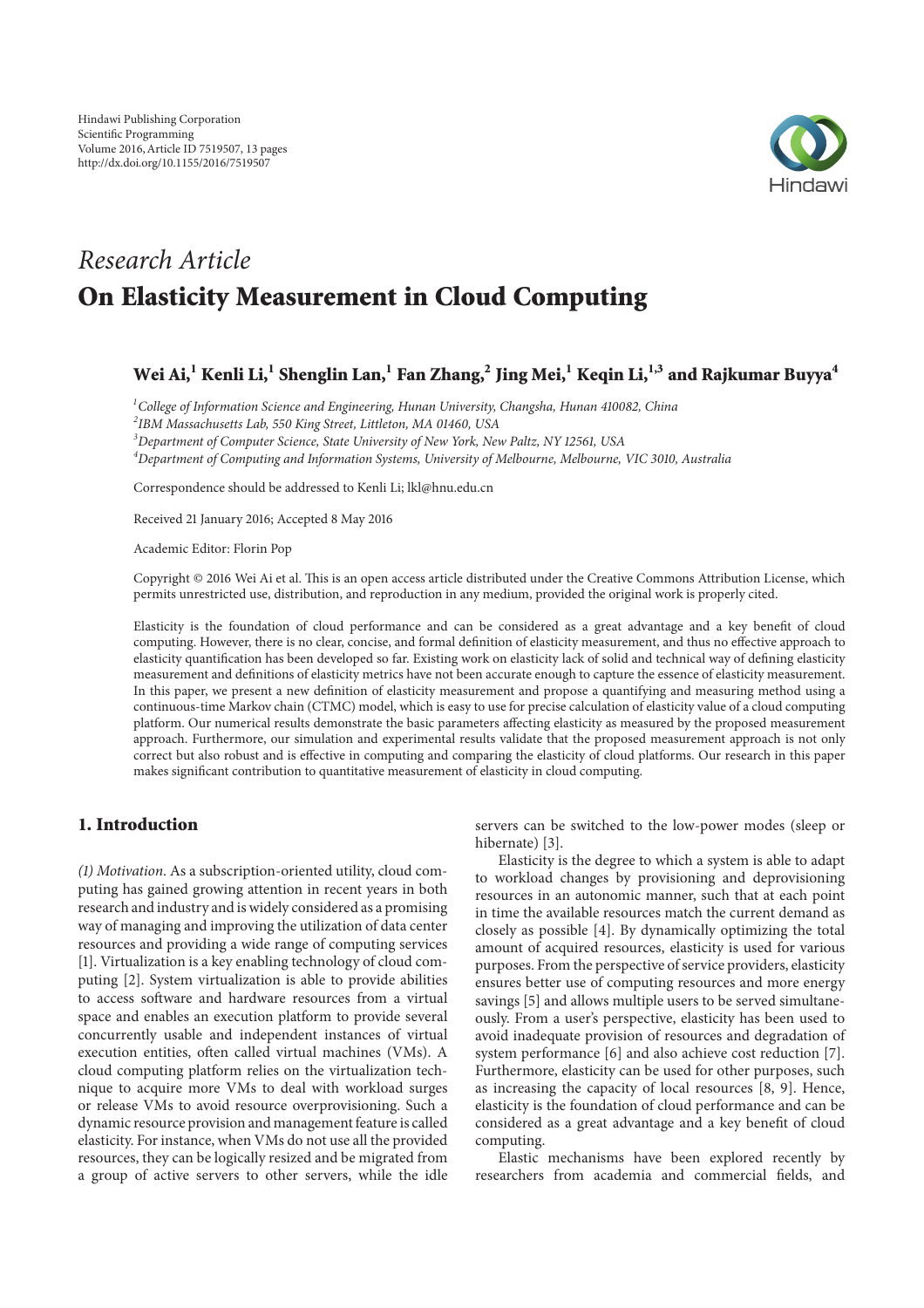

# Research Article On Elasticity Measurement in Cloud Computing

## Wei Ai, $^{\rm l}$  Kenli Li, $^{\rm l}$  Shenglin Lan, $^{\rm l}$  Fan Zhang, $^{\rm 2}$  Jing Mei, $^{\rm l}$  Keqin Li, $^{\rm l,3}$  and Rajkumar Buyya $^{\rm 4}$

 $1^1$ College of Information Science and Engineering, Hunan University, Changsha, Hunan 410082, China  $^2$ IBM Massachusetts Lab, 550 King Street, Littleton, MA 01460, USA  $3$ Department of Computer Science, State University of New York, New Paltz, NY 12561, USA

<sup>4</sup>Department of Computing and Information Systems, University of Melbourne, Melbourne, VIC 3010, Australia

Correspondence should be addressed to Kenli Li; lkl@hnu.edu.cn

Received 21 January 2016; Accepted 8 May 2016

Academic Editor: Florin Pop

Copyright © 2016 Wei Ai et al. Jis is an open access article distributed under the Creative Commons Attribution License, which permits unrestricted use, distribution, and reproduction in any medium, provided the original work is properly cited.

Elasticity is the foundation of cloud performance and can be considered as a great advantage and a key benefit of cloud computing. However, there is no clear, concise, and formal definition of elasticity measurement, and thus no effective approach to elasticity quantification has been developed so far. Existing work on elasticity lack of solid and technical way of defining elasticity measurement and definitions of elasticity metrics have not been accurate enough to capture the essence of elasticity measurement. In this paper, we present a new definition of elasticity measurement and propose a quantifying and measuring method using a continuous-time Markov chain (CTMC) model, which is easy to use for precise calculation of elasticity value of a cloud computing platform. Our numerical results demonstrate the basic parameters affecting elasticity as measured by the proposed measurement approach. Furthermore, our simulation and experimental results validate that the proposed measurement approach is not only correct but also robust and is effective in computing and comparing the elasticity of cloud platforms. Our research in this paper makes significant contribution to quantitative measurement of elasticity in cloud computing.

## 1. Introduction

(1) Motivation. As a subscription-oriented utility, cloud computing has gained growing attention in recent years in both research and industry and is widely considered as a promising way of managing and improving the utilization of data center resources and providing a wide range of computing services [1]. Virtualization is a key enabling technology of cloud computing [2]. System virtualization is able to provide abilities to access software and hardware resources from a virtual space and enables an execution platform to provide several concurrently usable and independent instances of virtual execution entities, often called virtual machines (VMs). A cloud computing platform relies on the virtualization technique to acquire more VMs to deal with workload surges or release VMs to avoid resource overprovisioning. Such a dynamic resource provision and management feature is called elasticity. For instance, when VMs do not use all the provided resources, they can be logically resized and be migrated from a group of active servers to other servers, while the idle servers can be switched to the low-power modes (sleep or hibernate) [3].

Elasticity is the degree to which a system is able to adapt to workload changes by provisioning and deprovisioning resources in an autonomic manner, such that at each point in time the available resources match the current demand as closely as possible [4]. By dynamically optimizing the total amount of acquired resources, elasticity is used for various purposes. From the perspective of service providers, elasticity ensures better use of computing resources and more energy savings [5] and allows multiple users to be served simultaneously. From a user's perspective, elasticity has been used to avoid inadequate provision of resources and degradation of system performance [6] and also achieve cost reduction [7]. Furthermore, elasticity can be used for other purposes, such as increasing the capacity of local resources [8, 9]. Hence, elasticity is the foundation of cloud performance and can be considered as a great advantage and a key benefit of cloud computing.

Elastic mechanisms have been explored recently by researchers from academia and commercial fields, and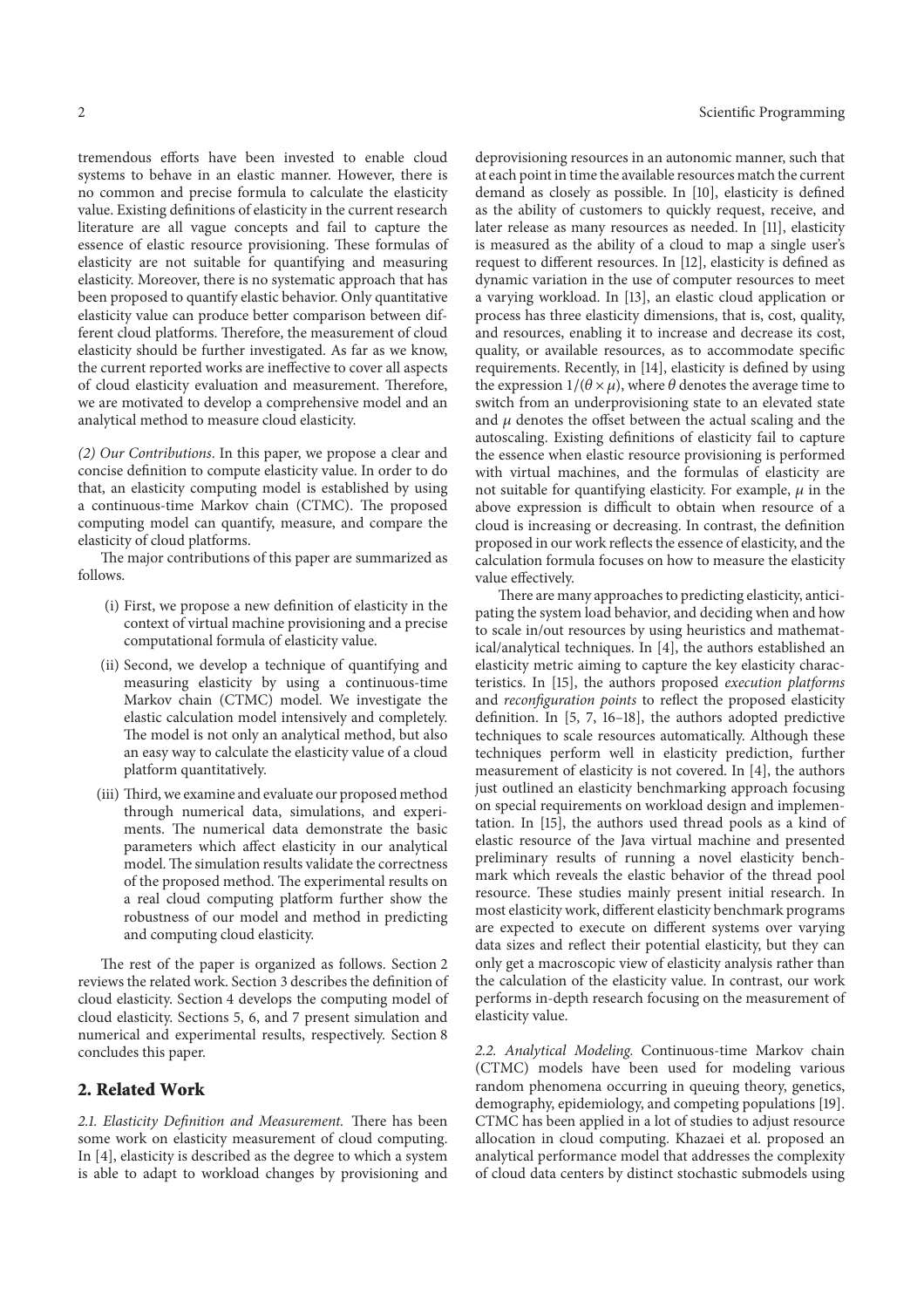tremendous efforts have been invested to enable cloud systems to behave in an elastic manner. However, there is no common and precise formula to calculate the elasticity value. Existing definitions of elasticity in the current research literature are all vague concepts and fail to capture the essence of elastic resource provisioning. These formulas of elasticity are not suitable for quantifying and measuring elasticity. Moreover, there is no systematic approach that has been proposed to quantify elastic behavior. Only quantitative elasticity value can produce better comparison between different cloud platforms. Therefore, the measurement of cloud elasticity should be further investigated. As far as we know, the current reported works are ineffective to cover all aspects of cloud elasticity evaluation and measurement. Therefore, we are motivated to develop a comprehensive model and an analytical method to measure cloud elasticity.

(2) Our Contributions. In this paper, we propose a clear and concise definition to compute elasticity value. In order to do that, an elasticity computing model is established by using a continuous-time Markov chain (CTMC). The proposed computing model can quantify, measure, and compare the elasticity of cloud platforms.

The major contributions of this paper are summarized as follows.

- $(i)$  First, we propose a new definition of elasticity in the context of virtual machine provisioning and a precise computational formula of elasticity value.
- (ii) Second, we develop a technique of quantifying and measuring elasticity by using a continuous-time Markov chain (CTMC) model. We investigate the elastic calculation model intensively and completely. The model is not only an analytical method, but also an easy way to calculate the elasticity value of a cloud platform quantitatively.
- (iii) Third, we examine and evaluate our proposed method through numerical data, simulations, and experiments. The numerical data demonstrate the basic parameters which affect elasticity in our analytical model. The simulation results validate the correctness of the proposed method. The experimental results on a real cloud computing platform further show the robustness of our model and method in predicting and computing cloud elasticity.

The rest of the paper is organized as follows. Section 2 reviews the related work. Section 3 describes the definition of cloud elasticity. Section 4 develops the computing model of cloud elasticity. Sections 5, 6, and 7 present simulation and numerical and experimental results, respectively. Section 8 concludes this paper.

### 2. Related Work

2.1. Elasticity Definition and Measurement. There has been some work on elasticity measurement of cloud computing. In [4], elasticity is described as the degree to which a system is able to adapt to workload changes by provisioning and deprovisioning resources in an autonomic manner, such that at each point in time the available resources match the current demand as closely as possible. In [10], elasticity is defined as the ability of customers to quickly request, receive, and later release as many resources as needed. In [11], elasticity is measured as the ability of a cloud to map a single user's request to different resources. In [12], elasticity is defined as dynamic variation in the use of computer resources to meet a varying workload. In [13], an elastic cloud application or process has three elasticity dimensions, that is, cost, quality, and resources, enabling it to increase and decrease its cost, quality, or available resources, as to accommodate specific requirements. Recently, in  $[14]$ , elasticity is defined by using the expression  $1/(\theta \times \mu)$ , where  $\theta$  denotes the average time to switch from an underprovisioning state to an elevated state and  $\mu$  denotes the offset between the actual scaling and the autoscaling. Existing definitions of elasticity fail to capture the essence when elastic resource provisioning is performed with virtual machines, and the formulas of elasticity are not suitable for quantifying elasticity. For example,  $\mu$  in the above expression is difficult to obtain when resource of a cloud is increasing or decreasing. In contrast, the definition proposed in our work rehects the essence of elasticity, and the calculation formula focuses on how to measure the elasticity value effectively.

There are many approaches to predicting elasticity, anticipating the system load behavior, and deciding when and how to scale in/out resources by using heuristics and mathematical/analytical techniques. In [4], the authors established an elasticity metric aiming to capture the key elasticity characteristics. In [15], the authors proposed execution platforms and *reconfiguration points* to reflect the proposed elasticity definition. In  $[5, 7, 16-18]$ , the authors adopted predictive techniques to scale resources automatically. Although these techniques perform well in elasticity prediction, further measurement of elasticity is not covered. In [4], the authors just outlined an elasticity benchmarking approach focusing on special requirements on workload design and implementation. In [15], the authors used thread pools as a kind of elastic resource of the Java virtual machine and presented preliminary results of running a novel elasticity benchmark which reveals the elastic behavior of the thread pool resource. These studies mainly present initial research. In most elasticity work, different elasticity benchmark programs are expected to execute on different systems over varying data sizes and rehect their potential elasticity, but they can only get a macroscopic view of elasticity analysis rather than the calculation of the elasticity value. In contrast, our work performs in-depth research focusing on the measurement of elasticity value.

2.2. Analytical Modeling. Continuous-time Markov chain (CTMC) models have been used for modeling various random phenomena occurring in queuing theory, genetics, demography, epidemiology, and competing populations [19]. CTMC has been applied in a lot of studies to adjust resource allocation in cloud computing. Khazaei et al. proposed an analytical performance model that addresses the complexity of cloud data centers by distinct stochastic submodels using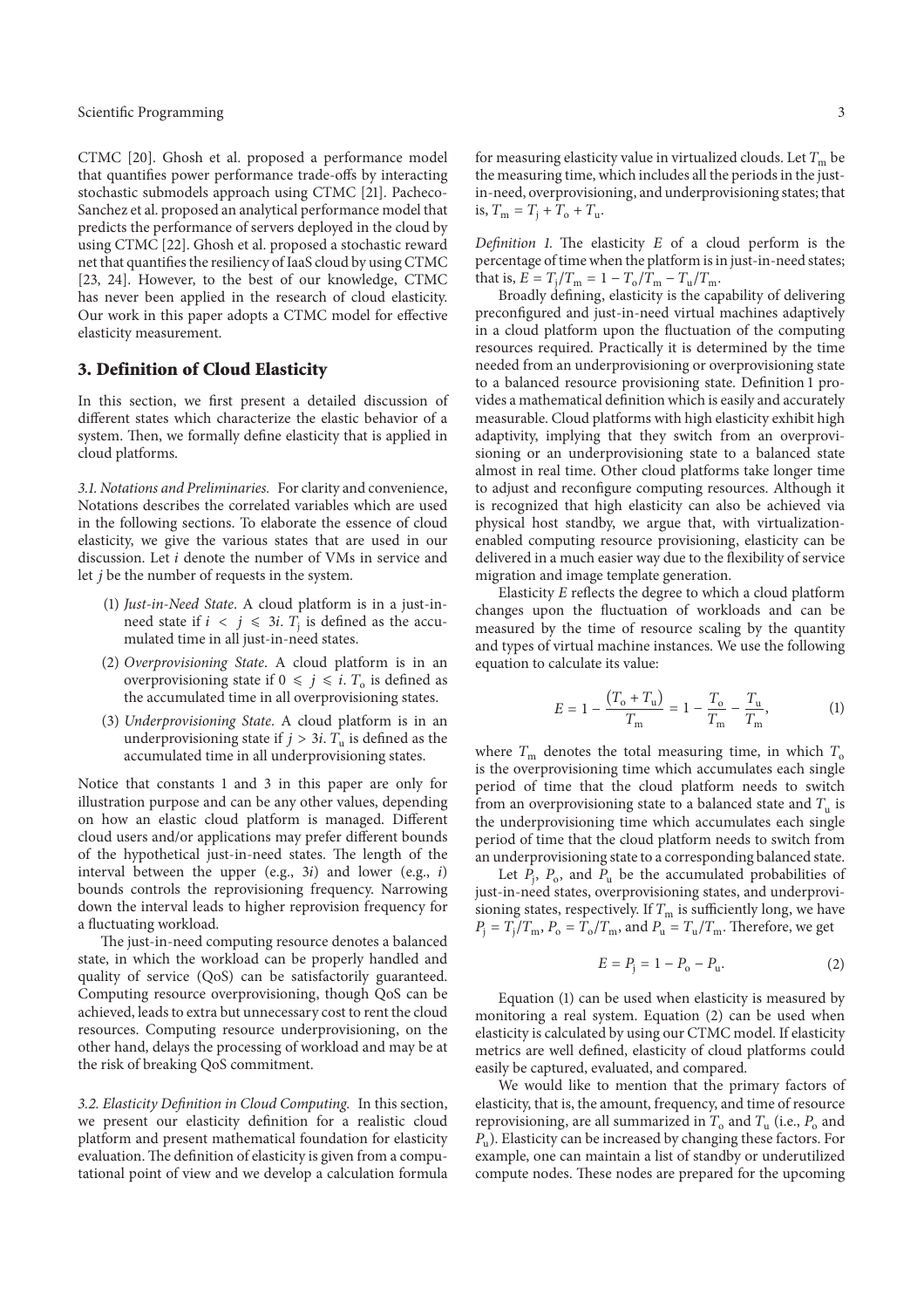#### Scientific Programming 3

CTMC [20]. Ghosh et al. proposed a performance model that quantifies power performance trade-offs by interacting stochastic submodels approach using CTMC [21]. Pacheco-Sanchez et al. proposed an analytical performance model that predicts the performance of servers deployed in the cloud by using CTMC [22]. Ghosh et al. proposed a stochastic reward net that quantifies the resiliency of IaaS cloud by using CTMC [23, 24]. However, to the best of our knowledge, CTMC has never been applied in the research of cloud elasticity. Our work in this paper adopts a CTMC model for effective elasticity measurement.

#### 3. Definition of Cloud Elasticity

In this section, we first present a detailed discussion of different states which characterize the elastic behavior of a system. Then, we formally define elasticity that is applied in cloud platforms.

3.1. Notations and Preliminaries. For clarity and convenience, Notations describes the correlated variables which are used in the following sections. To elaborate the essence of cloud elasticity, we give the various states that are used in our discussion. Let  $i$  denote the number of VMs in service and let  $j$  be the number of requests in the system.

- (1) Just-in-Need State. A cloud platform is in a just-inneed state if  $i < j \le 3i$ .  $T_j$  is defined as the accumulated time in all just-in-need states.
- (2) Overprovisioning State. A cloud platform is in an overprovisioning state if  $0 \le j \le i$ .  $T_o$  is defined as the accumulated time in all overprovisioning states.
- (3) Underprovisioning State. A cloud platform is in an underprovisioning state if  $j > 3i$ .  $T_u$  is defined as the accumulated time in all underprovisioning states.

Notice that constants 1 and 3 in this paper are only for illustration purpose and can be any other values, depending on how an elastic cloud platform is managed. Different cloud users and/or applications may prefer different bounds of the hypothetical just-in-need states. The length of the interval between the upper (e.g.,  $3i$ ) and lower (e.g.,  $i$ ) bounds controls the reprovisioning frequency. Narrowing down the interval leads to higher reprovision frequency for a fluctuating workload.

The just-in-need computing resource denotes a balanced state, in which the workload can be properly handled and quality of service (QoS) can be satisfactorily guaranteed. Computing resource overprovisioning, though QoS can be achieved, leads to extra but unnecessary cost to rent the cloud resources. Computing resource underprovisioning, on the other hand, delays the processing of workload and may be at the risk of breaking QoS commitment.

3.2. Elasticity Definition in Cloud Computing. In this section, we present our elasticity definition for a realistic cloud platform and present mathematical foundation for elasticity evaluation. The definition of elasticity is given from a computational point of view and we develop a calculation formula for measuring elasticity value in virtualized clouds. Let  $T_{\rm m}$  be the measuring time, which includes all the periods in the justin-need, overprovisioning, and underprovisioning states; that is,  $T_m = T_j + T_o + T_u$ .

Definition 1. The elasticity  $E$  of a cloud perform is the percentage of time when the platform is in just-in-need states; that is,  $E = T_{\rm j}/T_{\rm m} = 1 - T_{\rm o}/T_{\rm m} - T_{\rm u}/T_{\rm m}$ .

Broadly defining, elasticity is the capability of delivering preconfigured and just-in-need virtual machines adaptively in a cloud platform upon the huctuation of the computing resources required. Practically it is determined by the time needed from an underprovisioning or overprovisioning state to a balanced resource provisioning state. Definition 1 provides a mathematical definition which is easily and accurately measurable. Cloud platforms with high elasticity exhibit high adaptivity, implying that they switch from an overprovisioning or an underprovisioning state to a balanced state almost in real time. Other cloud platforms take longer time to adjust and reconfigure computing resources. Although it is recognized that high elasticity can also be achieved via physical host standby, we argue that, with virtualizationenabled computing resource provisioning, elasticity can be delivered in a much easier way due to the hexibility of service migration and image template generation.

Elasticity  $E$  reflects the degree to which a cloud platform changes upon the huctuation of workloads and can be measured by the time of resource scaling by the quantity and types of virtual machine instances. We use the following equation to calculate its value:

$$
E = 1 - \frac{(T_o + T_u)}{T_m} = 1 - \frac{T_o}{T_m} - \frac{T_u}{T_m},
$$
(1)

where  $T_m$  denotes the total measuring time, in which  $T_o$ is the overprovisioning time which accumulates each single period of time that the cloud platform needs to switch from an overprovisioning state to a balanced state and  $T_{\mathrm{u}}$  is the underprovisioning time which accumulates each single period of time that the cloud platform needs to switch from an underprovisioning state to a corresponding balanced state.

Let  $P_j$ ,  $P_o$ , and  $P_u$  be the accumulated probabilities of just-in-need states, overprovisioning states, and underprovisioning states, respectively. If  $T_m$  is sufficiently long, we have  $P_{\rm j} = T_{\rm j}/T_{\rm m}$ ,  $P_{\rm o} = T_{\rm o}/T_{\rm m}$ , and  $P_{\rm u} = T_{\rm u}/T_{\rm m}$ . Therefore, we get

$$
E = P_{j} = 1 - P_{o} - P_{u}.
$$
 (2)

Equation (1) can be used when elasticity is measured by monitoring a real system. Equation (2) can be used when elasticity is calculated by using our CTMC model. If elasticity metrics are well defined, elasticity of cloud platforms could easily be captured, evaluated, and compared.

We would like to mention that the primary factors of elasticity, that is, the amount, frequency, and time of resource reprovisioning, are all summarized in  $T_{\mathrm{o}}$  and  $T_{\mathrm{u}}$  (i.e.,  $P_{\mathrm{o}}$  and  $P_{\mathrm{u}}$ ). Elasticity can be increased by changing these factors. For example, one can maintain a list of standby or underutilized compute nodes. These nodes are prepared for the upcoming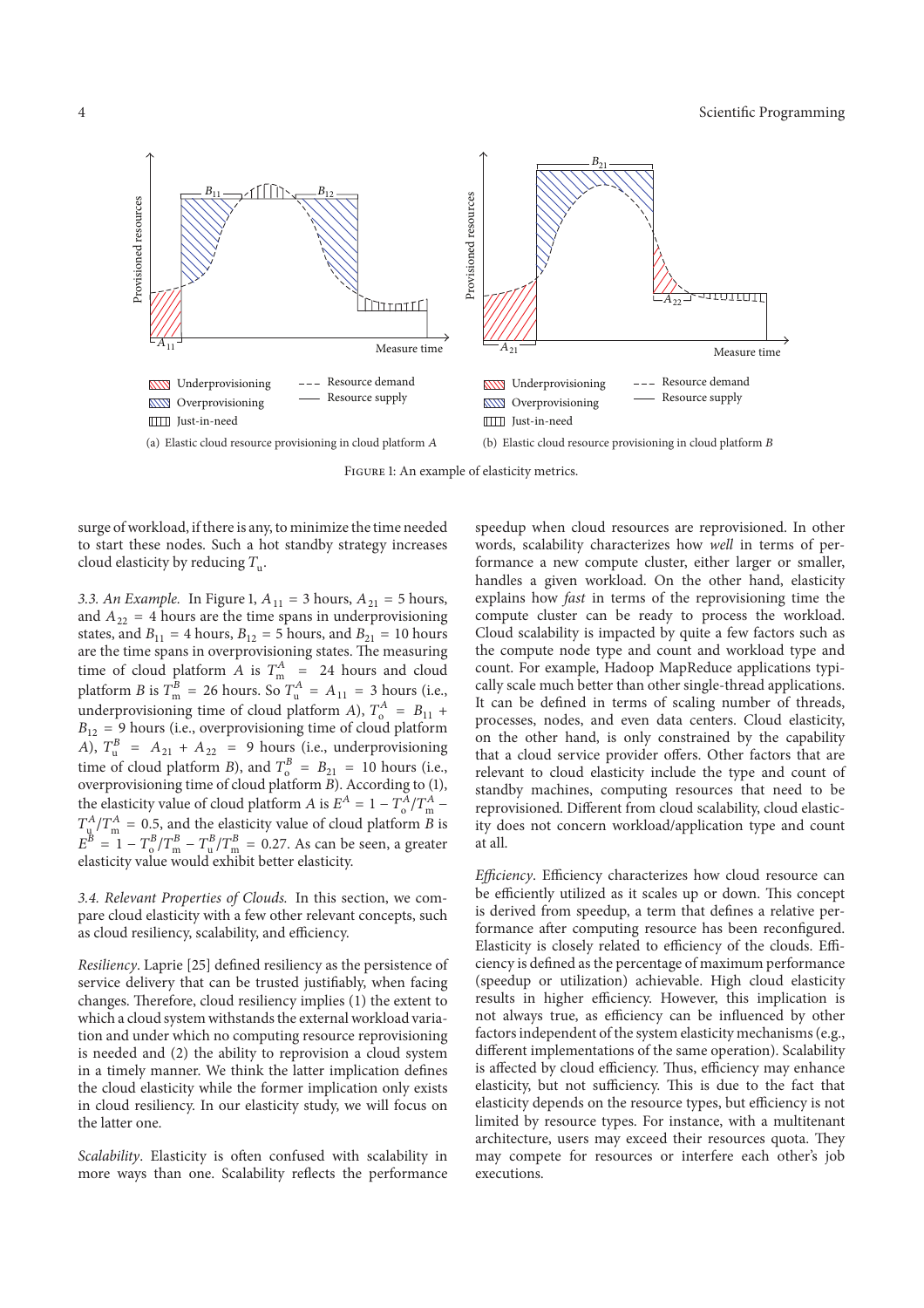

Figure 1: An example of elasticity metrics.

surge of workload, if there is any, to minimize the time needed to start these nodes. Such a hot standby strategy increases cloud elasticity by reducing  $T_{\mathrm{u}}$ .

3.3. An Example. In Figure 1,  $A_{11} = 3$  hours,  $A_{21} = 5$  hours, and  $A_{22} = 4$  hours are the time spans in underprovisioning states, and  $B_{11} = 4$  hours,  $B_{12} = 5$  hours, and  $B_{21} = 10$  hours are the time spans in overprovisioning states. The measuring time of cloud platform A is  $T_{\text{m}}^A$  = 24 hours and cloud platform *B* is  $T_{\text{m}}^B$  = 26 hours. So  $T_{\text{u}}^A$  =  $A_{11}$  = 3 hours (i.e., underprovisioning time of cloud platform A),  $T_0^A = B_{11} +$  $B_{12} = 9$  hours (i.e., overprovisioning time of cloud platform A),  $T_u^B = A_{21} + A_{22} = 9$  hours (i.e., underprovisioning time of cloud platform *B*), and  $T_0^B = B_{21} = 10$  hours (i.e., overprovisioning time of cloud platform B). According to (1), the elasticity value of cloud platform A is  $E^A = 1 - T_o^A / T_m^A$  –  $T_{\mu}^{A}/T_{\text{m}}^{A} = 0.5$ , and the elasticity value of cloud platform B is  $E^B = 1 - T_o^B / T_m^B - T_u^B / T_m^B = 0.27$ . As can be seen, a greater elasticity value would exhibit better elasticity.

3.4. Relevant Properties of Clouds. In this section, we compare cloud elasticity with a few other relevant concepts, such as cloud resiliency, scalability, and efficiency.

Resiliency. Laprie [25] defined resiliency as the persistence of service delivery that can be trusted justifiably, when facing changes. Therefore, cloud resiliency implies (1) the extent to which a cloud system withstands the external workload variation and under which no computing resource reprovisioning is needed and (2) the ability to reprovision a cloud system in a timely manner. We think the latter implication defines the cloud elasticity while the former implication only exists in cloud resiliency. In our elasticity study, we will focus on the latter one.

Scalability. Elasticity is often confused with scalability in more ways than one. Scalability rehects the performance speedup when cloud resources are reprovisioned. In other words, scalability characterizes how well in terms of performance a new compute cluster, either larger or smaller, handles a given workload. On the other hand, elasticity explains how fast in terms of the reprovisioning time the compute cluster can be ready to process the workload. Cloud scalability is impacted by quite a few factors such as the compute node type and count and workload type and count. For example, Hadoop MapReduce applications typically scale much better than other single-thread applications. It can be defined in terms of scaling number of threads, processes, nodes, and even data centers. Cloud elasticity, on the other hand, is only constrained by the capability that a cloud service provider offers. Other factors that are relevant to cloud elasticity include the type and count of standby machines, computing resources that need to be reprovisioned. Different from cloud scalability, cloud elasticity does not concern workload/application type and count at all.

Efficiency. Efficiency characterizes how cloud resource can be efficiently utilized as it scales up or down. This concept is derived from speedup, a term that defines a relative performance after computing resource has been reconfigured. Elasticity is closely related to efficiency of the clouds. Efficiency is defined as the percentage of maximum performance (speedup or utilization) achievable. High cloud elasticity results in higher efficiency. However, this implication is not always true, as efficiency can be influenced by other factors independent of the system elasticity mechanisms (e.g., different implementations of the same operation). Scalability is affected by cloud efficiency. Thus, efficiency may enhance elasticity, but not sufficiency. This is due to the fact that elasticity depends on the resource types, but efficiency is not limited by resource types. For instance, with a multitenant architecture, users may exceed their resources quota. They may compete for resources or interfere each other's job executions.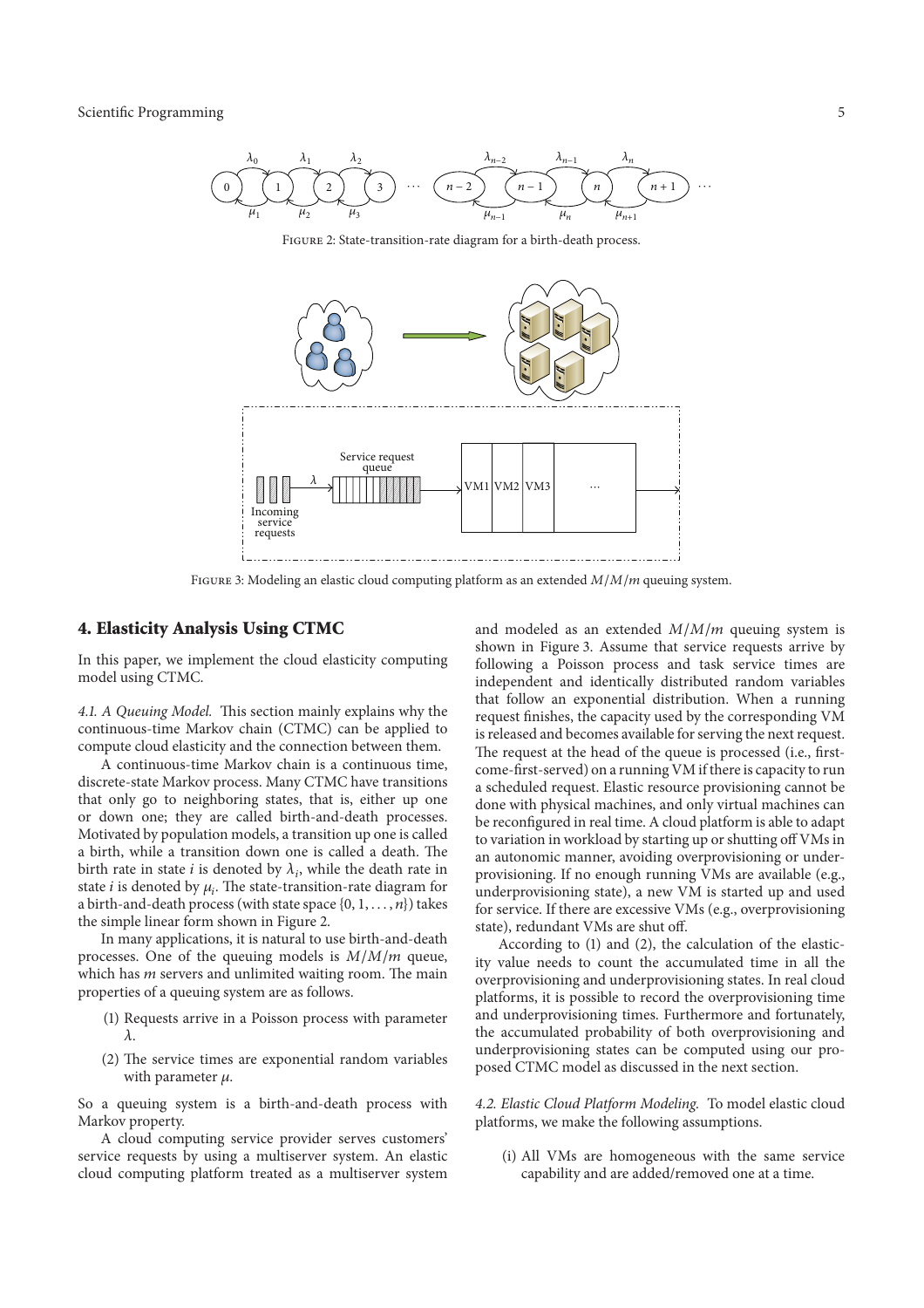

Figure 2: State-transition-rate diagram for a birth-death process.



FIGURE 3: Modeling an elastic cloud computing platform as an extended  $M/M/m$  queuing system.

#### 4. Elasticity Analysis Using CTMC

In this paper, we implement the cloud elasticity computing model using CTMC.

4.1. A Queuing Model. This section mainly explains why the continuous-time Markov chain (CTMC) can be applied to compute cloud elasticity and the connection between them.

A continuous-time Markov chain is a continuous time, discrete-state Markov process. Many CTMC have transitions that only go to neighboring states, that is, either up one or down one; they are called birth-and-death processes. Motivated by population models, a transition up one is called a birth, while a transition down one is called a death. The birth rate in state *i* is denoted by  $\lambda_i$ , while the death rate in state  $i$  is denoted by  $\mu_i$ . The state-transition-rate diagram for a birth-and-death process (with state space  $\{0, 1, \ldots, n\}$ ) takes the simple linear form shown in Figure 2.

In many applications, it is natural to use birth-and-death processes. One of the queuing models is  $M/M/m$  queue, which has  *servers and unlimited waiting room. The main* properties of a queuing system are as follows.

- (1) Requests arrive in a Poisson process with parameter  $\lambda$ .
- $(2)$  The service times are exponential random variables with parameter  $\mu$ .

So a queuing system is a birth-and-death process with Markov property.

A cloud computing service provider serves customers' service requests by using a multiserver system. An elastic cloud computing platform treated as a multiserver system and modeled as an extended  $M/M/m$  queuing system is shown in Figure 3. Assume that service requests arrive by following a Poisson process and task service times are independent and identically distributed random variables that follow an exponential distribution. When a running request finishes, the capacity used by the corresponding VM is released and becomes available for serving the next request. The request at the head of the queue is processed (i.e., firstcome-first-served) on a running VM if there is capacity to run a scheduled request. Elastic resource provisioning cannot be done with physical machines, and only virtual machines can be reconfigured in real time. A cloud platform is able to adapt to variation in workload by starting up or shutting off VMs in an autonomic manner, avoiding overprovisioning or underprovisioning. If no enough running VMs are available (e.g., underprovisioning state), a new VM is started up and used for service. If there are excessive VMs (e.g., overprovisioning state), redundant VMs are shut off.

According to (1) and (2), the calculation of the elasticity value needs to count the accumulated time in all the overprovisioning and underprovisioning states. In real cloud platforms, it is possible to record the overprovisioning time and underprovisioning times. Furthermore and fortunately, the accumulated probability of both overprovisioning and underprovisioning states can be computed using our proposed CTMC model as discussed in the next section.

4.2. Elastic Cloud Platform Modeling. To model elastic cloud platforms, we make the following assumptions.

(i) All VMs are homogeneous with the same service capability and are added/removed one at a time.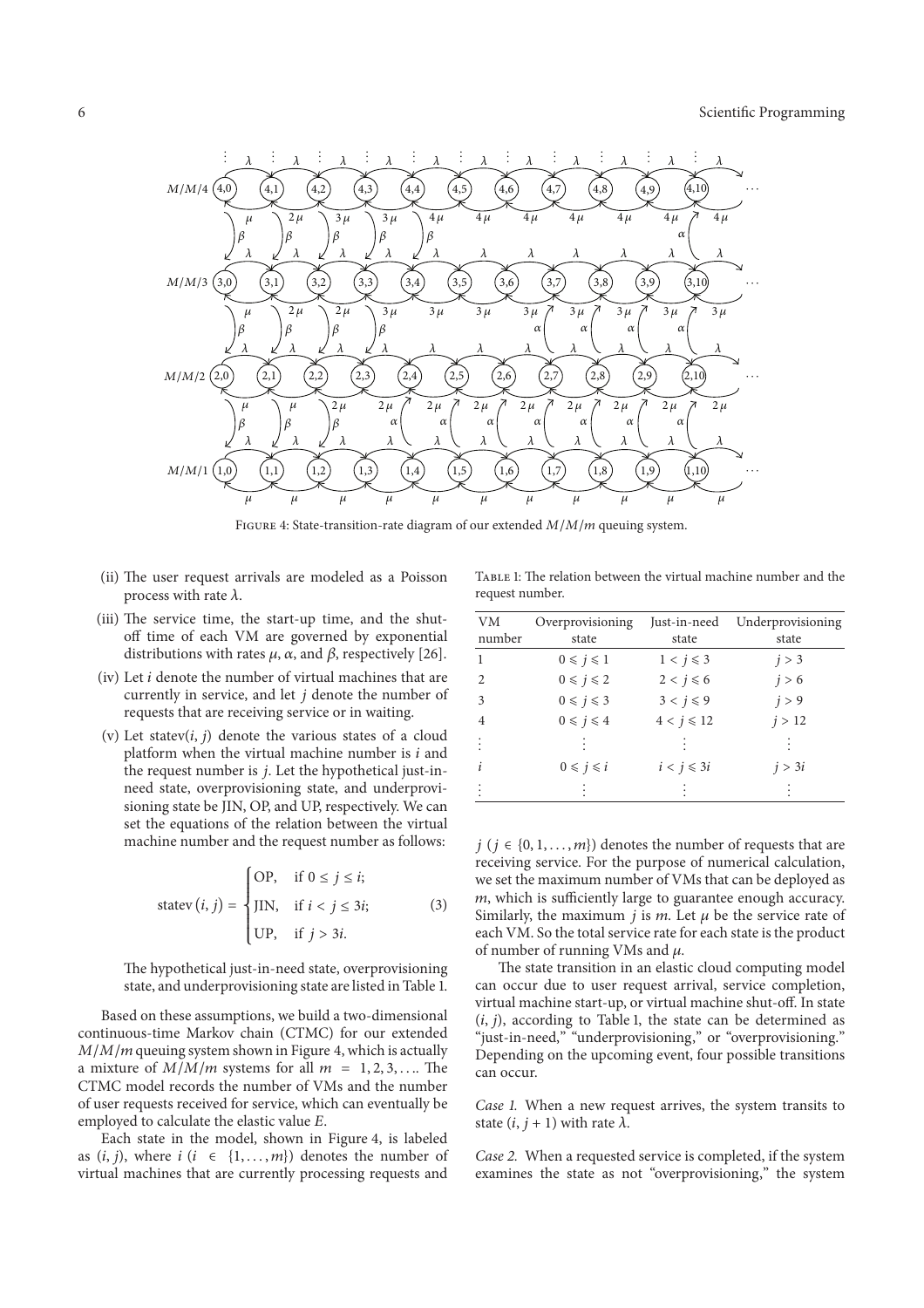

FIGURE 4: State-transition-rate diagram of our extended  $M/M/m$  queuing system.

(ii) The user request arrivals are modeled as a Poisson process with rate  $\lambda$ .

(iii) The service time, the start-up time, and the shutoff time of each VM are governed by exponential distributions with rates  $\mu$ ,  $\alpha$ , and  $\beta$ , respectively [26].

- (iv) Let  $i$  denote the number of virtual machines that are currently in service, and let  $j$  denote the number of requests that are receiving service or in waiting.
- (v) Let statev $(i, j)$  denote the various states of a cloud platform when the virtual machine number is  $i$  and the request number is  $j$ . Let the hypothetical just-inneed state, overprovisioning state, and underprovisioning state be JIN, OP, and UP, respectively. We can set the equations of the relation between the virtual machine number and the request number as follows:

statev 
$$
(i, j)
$$
 = 
$$
\begin{cases} \text{OP}, & \text{if } 0 \leq j \leq i; \\ \text{JIN}, & \text{if } i < j \leq 3i; \\ \text{UP}, & \text{if } j > 3i. \end{cases}
$$
 (3)

The hypothetical just-in-need state, overprovisioning state, and underprovisioning state are listed in Table 1.

Based on these assumptions, we build a two-dimensional continuous-time Markov chain (CTMC) for our extended  $M/M/m$  queuing system shown in Figure 4, which is actually a mixture of  $M/M/m$  systems for all  $m = 1, 2, 3, \ldots$  The CTMC model records the number of VMs and the number of user requests received for service, which can eventually be employed to calculate the elastic value E.

Each state in the model, shown in Figure 4, is labeled as  $(i, j)$ , where  $i$   $(i \in \{1, ..., m\})$  denotes the number of virtual machines that are currently processing requests and

TABLE 1: The relation between the virtual machine number and the request number.

| VM<br>number | Overprovisioning<br>state | Just-in-need<br>state | Underprovisioning<br>state |
|--------------|---------------------------|-----------------------|----------------------------|
|              | $0 \leq j \leq 1$         | $1 < j \leqslant 3$   | i > 3                      |
|              | $0 \leq j \leq 2$         | $2 < j \leq 6$        | i > 6                      |
| 3            | $0 \leq j \leq 3$         | $3 < j \leq 9$        | i > 9                      |
|              | $0 \leq j \leq 4$         | $4 < j \leqslant 12$  | i > 12                     |
|              |                           |                       |                            |
|              | $0 \leq i \leq i$         | $i < j \leqslant 3i$  | i > 3i                     |
|              |                           |                       |                            |

 $j$  ( $j \in \{0, 1, ..., m\}$ ) denotes the number of requests that are receiving service. For the purpose of numerical calculation, we set the maximum number of VMs that can be deployed as  $m$ , which is sufficiently large to guarantee enough accuracy. Similarly, the maximum  $j$  is  $m$ . Let  $\mu$  be the service rate of each VM. So the total service rate for each state is the product of number of running VMs and  $\mu$ .

The state transition in an elastic cloud computing model can occur due to user request arrival, service completion, virtual machine start-up, or virtual machine shut-off. In state  $(i, j)$ , according to Table 1, the state can be determined as "just-in-need," "underprovisioning," or "overprovisioning." Depending on the upcoming event, four possible transitions can occur.

Case 1. When a new request arrives, the system transits to state  $(i, j + 1)$  with rate  $\lambda$ .

Case 2. When a requested service is completed, if the system examines the state as not "overprovisioning," the system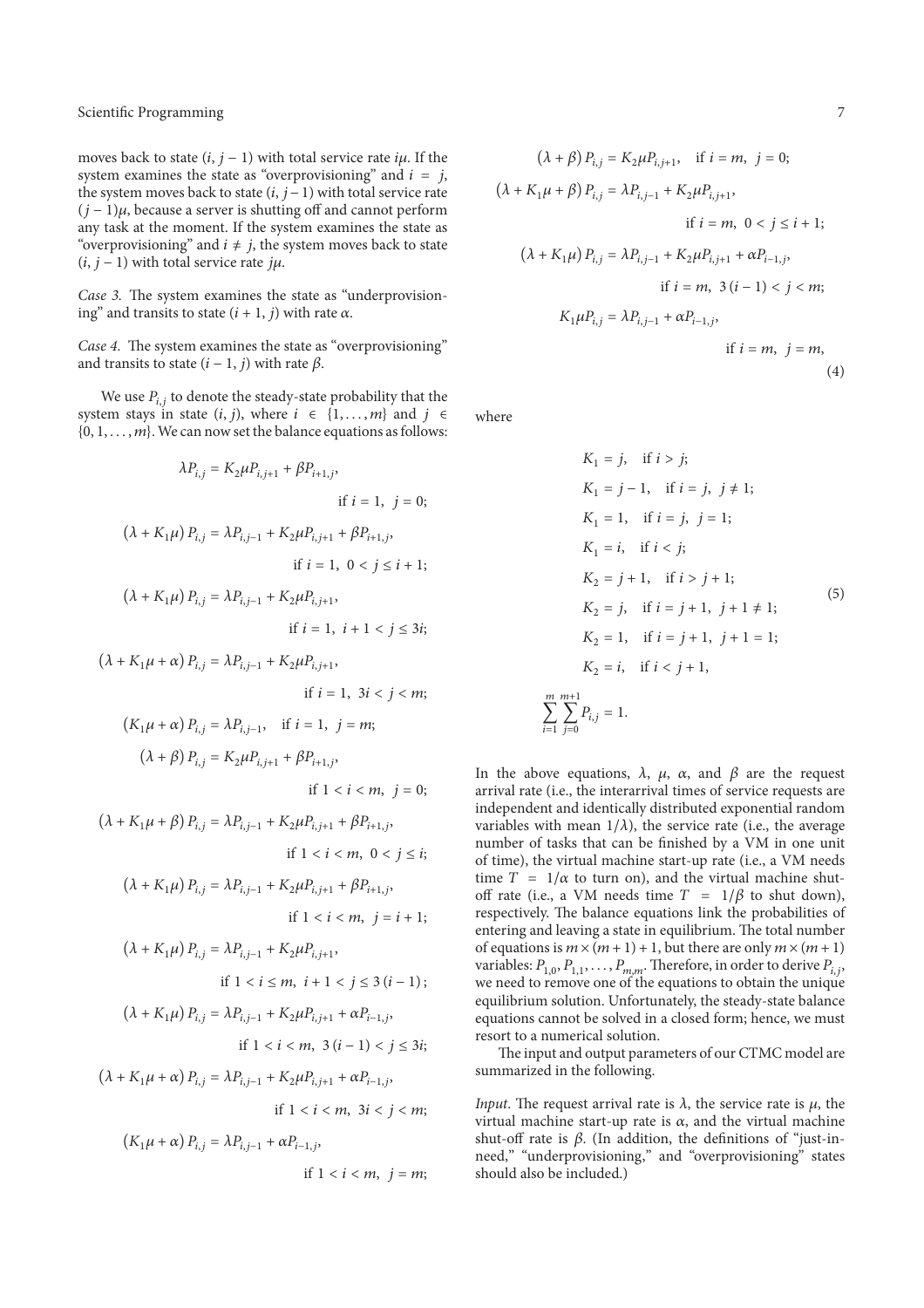Scientific Programming 7

moves back to state  $(i, j - 1)$  with total service rate  $i\mu$ . If the system examines the state as "overprovisioning" and  $i = j$ , the system moves back to state  $(i, j - 1)$  with total service rate  $(j - 1)\mu$ , because a server is shutting off and cannot perform any task at the moment. If the system examines the state as "overprovisioning" and  $i \neq j$ , the system moves back to state  $(i, j - 1)$  with total service rate  $j\mu$ .

Case 3. The system examines the state as "underprovisioning" and transits to state  $(i + 1, j)$  with rate  $\alpha$ .

Case 4. The system examines the state as "overprovisioning" and transits to state  $(i - 1, j)$  with rate  $\beta$ .

We use  $P_{i,j}$  to denote the steady-state probability that the system stays in state  $(i, j)$ , where  $i \in \{1, ..., m\}$  and  $j \in$  $\{0, 1, \ldots, m\}$ . We can now set the balance equations as follows:

$$
\lambda P_{i,j} = K_2 \mu P_{i,j+1} + \beta P_{i+1,j},
$$
  
if  $i = 1, j = 0$ ;  

$$
(\lambda + K_1 \mu) P_{i,j} = \lambda P_{i,j-1} + K_2 \mu P_{i,j+1} + \beta P_{i+1,j},
$$
  
if  $i = 1, 0 < j \le i + 1$ ;  

$$
(\lambda + K_1 \mu) P_{i,j} = \lambda P_{i,j-1} + K_2 \mu P_{i,j+1},
$$
  
if  $i = 1, i + 1 < j \le 3i$ ;

$$
(\lambda + K_1 \mu + \alpha) P_{i,j} = \lambda P_{i,j-1} + K_2 \mu P_{i,j+1},
$$
  
if  $i = 1, 3i < j < m$ ;  

$$
(K_1 \mu + \alpha) P_{i,j} = \lambda P_{i,j-1}, \text{ if } i = 1, j = m;
$$

$$
K_1 \mu + \alpha_j I_{i,j} = M_{i,j-1}, \quad \text{if } i = 1, j = m,
$$
  

$$
(\lambda + \beta) P_{i,j} = K_2 \mu P_{i,j+1} + \beta P_{i+1,j},
$$
  
if  $1 < i < m, j = 0;$ 

$$
(\lambda + K_1 \mu + \beta) P_{i,j} = \lambda P_{i,j-1} + K_2 \mu P_{i,j+1} + \beta P_{i+1,j},
$$
  
if  $1 < i < m, 0 < j \le i$ ;

$$
(\lambda + K_1 \mu) P_{i,j} = \lambda P_{i,j-1} + K_2 \mu P_{i,j+1} + \beta P_{i+1,j},
$$
  
if  $1 < i < m, j = i + 1;$ 

$$
(\lambda + K_1 \mu) P_{i,j} = \lambda P_{i,j-1} + K_2 \mu P_{i,j+1},
$$
  
if  $1 < i \le m$ ,  $i + 1 < j \le 3 (i - 1)$ ;  

$$
(\lambda + K_1 \mu) P_{i,j} = \lambda P_{i,j-1} + K_2 \mu P_{i,j+1} + \alpha P_{i-1,j},
$$

if  $1 < i < m$ ,  $3(i - 1) < j \leq 3i$ ;

$$
(\lambda + K_1 \mu + \alpha) P_{i,j} = \lambda P_{i,j-1} + K_2 \mu P_{i,j+1} + \alpha P_{i-1,j},
$$
  
if  $1 < i < m$ ,  $3i < j < m$ ;

$$
(K_1\mu + \alpha) P_{i,j} = \lambda P_{i,j-1} + \alpha P_{i-1,j},
$$
  
if  $1 < i < m$ ,  $j = m$ ;

$$
(\lambda + \beta) P_{i,j} = K_2 \mu P_{i,j+1}, \text{ if } i = m, j = 0;
$$
  

$$
(\lambda + K_1 \mu + \beta) P_{i,j} = \lambda P_{i,j-1} + K_2 \mu P_{i,j+1},
$$
  
if  $i = m, 0 < j \le i + 1;$   

$$
(\lambda + K_1 \mu) P_{i,j} = \lambda P_{i,j-1} + K_2 \mu P_{i,j+1} + \alpha P_{i-1,j},
$$
  
if  $i = m, 3 (i - 1) < j < m;$   

$$
K_1 \mu P_{i,j} = \lambda P_{i,j-1} + \alpha P_{i-1,j},
$$
  
if  $i = m, j = m,$ 

where

$$
K_{1} = j, \text{ if } i > j;
$$
  
\n
$$
K_{1} = j - 1, \text{ if } i = j, j \neq 1;
$$
  
\n
$$
K_{1} = 1, \text{ if } i = j, j = 1;
$$
  
\n
$$
K_{1} = i, \text{ if } i < j;
$$
  
\n
$$
K_{2} = j + 1, \text{ if } i > j + 1;
$$
  
\n
$$
K_{2} = j, \text{ if } i = j + 1, j + 1 \neq 1;
$$
  
\n
$$
K_{2} = i, \text{ if } i < j + 1,
$$
  
\n
$$
\sum_{i=1}^{m} \sum_{j=0}^{m+1} P_{i,j} = 1.
$$
  
\n(5)

In the above equations,  $\lambda$ ,  $\mu$ ,  $\alpha$ , and  $\beta$  are the request arrival rate (i.e., the interarrival times of service requests are independent and identically distributed exponential random variables with mean  $1/\lambda$ ), the service rate (i.e., the average number of tasks that can be finished by a VM in one unit of time), the virtual machine start-up rate (i.e., a VM needs time  $T = 1/\alpha$  to turn on), and the virtual machine shutoff rate (i.e., a VM needs time  $T = 1/\beta$  to shut down), respectively. The balance equations link the probabilities of entering and leaving a state in equilibrium. The total number of equations is  $m \times (m + 1) + 1$ , but there are only  $m \times (m + 1)$ variables:  $P_{1,0}, P_{1,1}, \ldots, P_{m,m}$ . Therefore, in order to derive  $P_{i,j}$ , we need to remove one of the equations to obtain the unique equilibrium solution. Unfortunately, the steady-state balance equations cannot be solved in a closed form; hence, we must resort to a numerical solution.

The input and output parameters of our CTMC model are summarized in the following.

*Input*. The request arrival rate is  $\lambda$ , the service rate is  $\mu$ , the virtual machine start-up rate is  $\alpha$ , and the virtual machine shut-off rate is  $\beta$ . (In addition, the definitions of "just-inneed," "underprovisioning," and "overprovisioning" states should also be included.)

(4)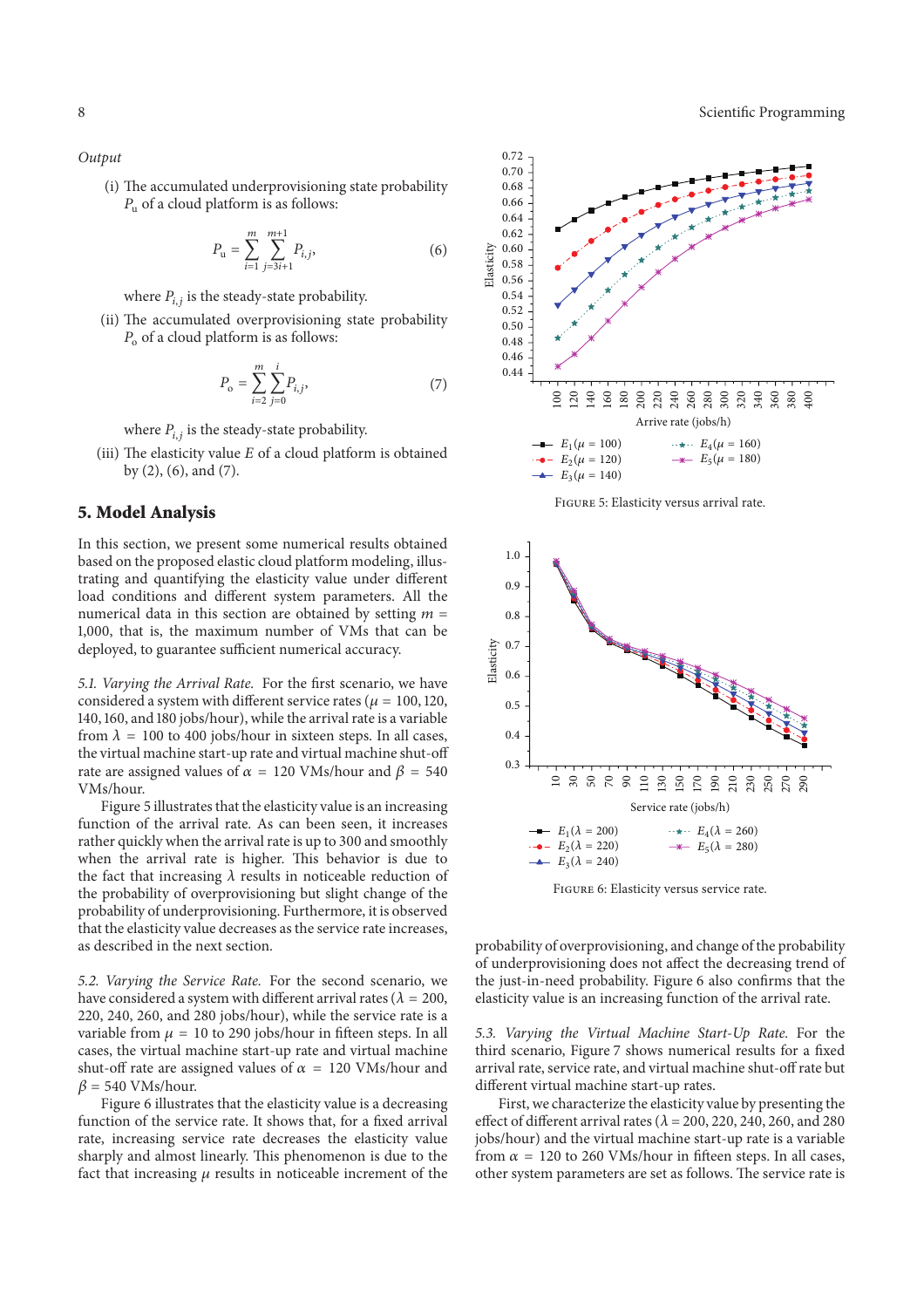Output

(i) The accumulated underprovisioning state probability  $P_{\rm u}$  of a cloud platform is as follows:

$$
P_{\mathbf{u}} = \sum_{i=1}^{m} \sum_{j=3i+1}^{m+1} P_{i,j},\tag{6}
$$

where  $P_{i,j}$  is the steady-state probability.

(ii) The accumulated overprovisioning state probability  $P<sub>o</sub>$  of a cloud platform is as follows:

$$
P_{o} = \sum_{i=2}^{m} \sum_{j=0}^{i} P_{i,j},
$$
\n(7)

where  $P_{i,j}$  is the steady-state probability.

(iii) The elasticity value  $E$  of a cloud platform is obtained by (2), (6), and (7).

#### 5. Model Analysis

In this section, we present some numerical results obtained based on the proposed elastic cloud platform modeling, illustrating and quantifying the elasticity value under different load conditions and different system parameters. All the numerical data in this section are obtained by setting  $m =$ 1,000, that is, the maximum number of VMs that can be deployed, to guarantee sufficient numerical accuracy.

5.1. Varying the Arrival Rate. For the first scenario, we have considered a system with different service rates ( $\mu = 100, 120$ , 140, 160, and 180 jobs/hour), while the arrival rate is a variable from  $\lambda = 100$  to 400 jobs/hour in sixteen steps. In all cases, the virtual machine start-up rate and virtual machine shut-off rate are assigned values of  $\alpha = 120$  VMs/hour and  $\beta = 540$ VMs/hour.

Figure 5 illustrates that the elasticity value is an increasing function of the arrival rate. As can been seen, it increases rather quickly when the arrival rate is up to 300 and smoothly when the arrival rate is higher. This behavior is due to the fact that increasing  $\lambda$  results in noticeable reduction of the probability of overprovisioning but slight change of the probability of underprovisioning. Furthermore, it is observed that the elasticity value decreases as the service rate increases, as described in the next section.

5.2. Varying the Service Rate. For the second scenario, we have considered a system with different arrival rates ( $\lambda = 200$ , 220, 240, 260, and 280 jobs/hour), while the service rate is a variable from  $\mu = 10$  to 290 jobs/hour in fifteen steps. In all cases, the virtual machine start-up rate and virtual machine shut-off rate are assigned values of  $\alpha = 120$  VMs/hour and  $\beta$  = 540 VMs/hour.

Figure 6 illustrates that the elasticity value is a decreasing function of the service rate. It shows that, for a fixed arrival rate, increasing service rate decreases the elasticity value sharply and almost linearly. This phenomenon is due to the fact that increasing  $\mu$  results in noticeable increment of the





Figure 6: Elasticity versus service rate.

probability of overprovisioning, and change of the probability of underprovisioning does not affect the decreasing trend of the just-in-need probability. Figure 6 also confirms that the elasticity value is an increasing function of the arrival rate.

5.3. Varying the Virtual Machine Start-Up Rate. For the third scenario, Figure 7 shows numerical results for a fixed arrival rate, service rate, and virtual machine shut-off rate but different virtual machine start-up rates.

First, we characterize the elasticity value by presenting the effect of different arrival rates ( $\lambda = 200, 220, 240, 260,$  and 280 jobs/hour) and the virtual machine start-up rate is a variable from  $\alpha$  = 120 to 260 VMs/hour in fifteen steps. In all cases, other system parameters are set as follows. The service rate is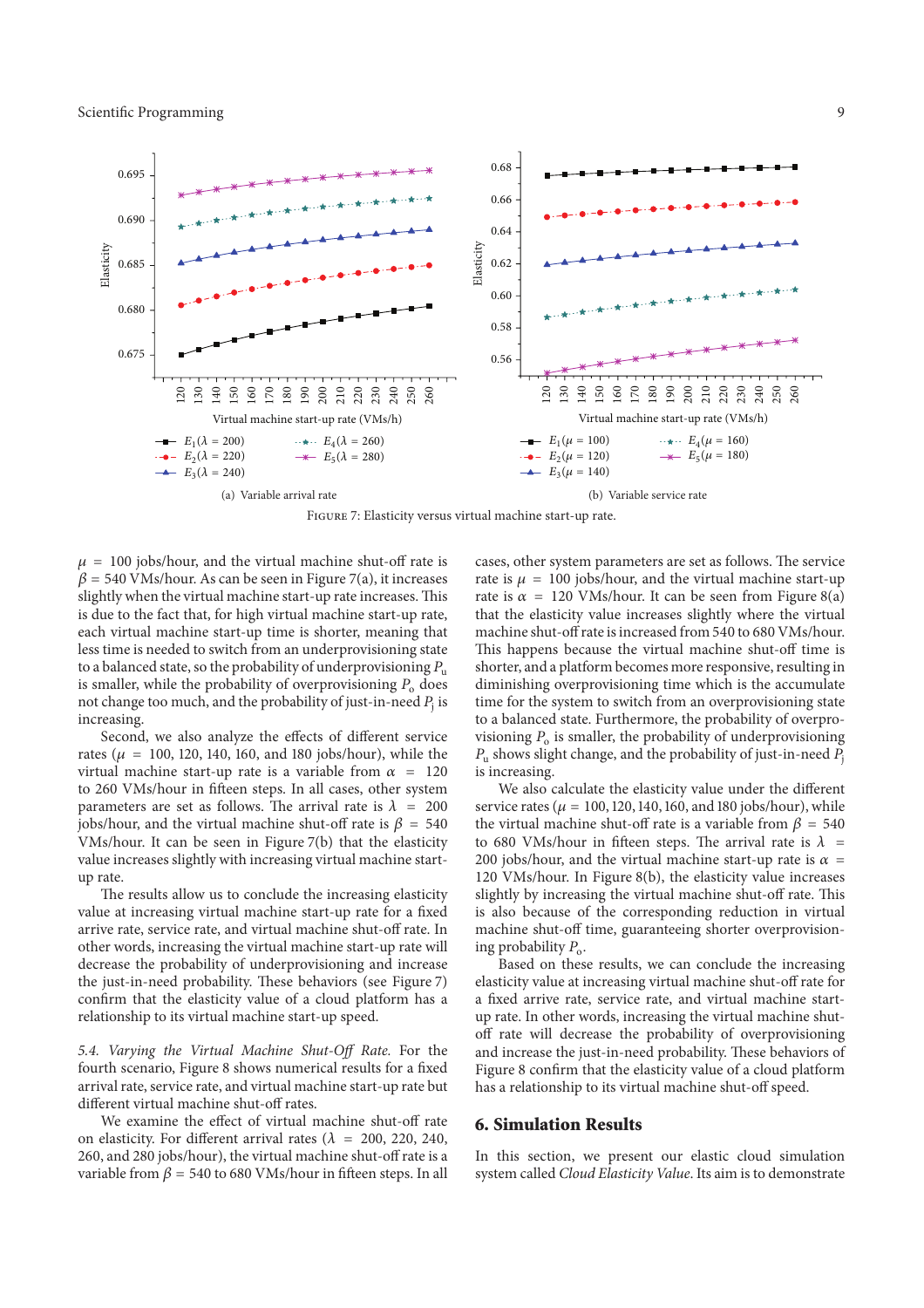

Figure 7: Elasticity versus virtual machine start-up rate.

 $\mu$  = 100 jobs/hour, and the virtual machine shut-off rate is  $\beta$  = 540 VMs/hour. As can be seen in Figure 7(a), it increases slightly when the virtual machine start-up rate increases. This is due to the fact that, for high virtual machine start-up rate, each virtual machine start-up time is shorter, meaning that less time is needed to switch from an underprovisioning state to a balanced state, so the probability of underprovisioning  $P_{\rm u}$ is smaller, while the probability of overprovisioning  $P_0$  does not change too much, and the probability of just-in-need  $P_{\rm j}$  is increasing.

Second, we also analyze the effects of different service rates ( $\mu$  = 100, 120, 140, 160, and 180 jobs/hour), while the virtual machine start-up rate is a variable from  $\alpha = 120$ to 260 VMs/hour in fifteen steps. In all cases, other system parameters are set as follows. The arrival rate is  $\lambda = 200$ jobs/hour, and the virtual machine shut-off rate is  $\beta = 540$ VMs/hour. It can be seen in Figure 7(b) that the elasticity value increases slightly with increasing virtual machine startup rate.

The results allow us to conclude the increasing elasticity value at increasing virtual machine start-up rate for a fixed arrive rate, service rate, and virtual machine shut-off rate. In other words, increasing the virtual machine start-up rate will decrease the probability of underprovisioning and increase the just-in-need probability. These behaviors (see Figure 7) confirm that the elasticity value of a cloud platform has a relationship to its virtual machine start-up speed.

5.4. Varying the Virtual Machine Shut-Off Rate. For the fourth scenario, Figure 8 shows numerical results for a fixed arrival rate, service rate, and virtual machine start-up rate but different virtual machine shut-off rates.

We examine the effect of virtual machine shut-off rate on elasticity. For different arrival rates ( $\lambda = 200, 220, 240,$ 260, and 280 jobs/hour), the virtual machine shut-off rate is a variable from  $\beta$  = 540 to 680 VMs/hour in fifteen steps. In all cases, other system parameters are set as follows. The service rate is  $\mu = 100$  jobs/hour, and the virtual machine start-up rate is  $\alpha = 120$  VMs/hour. It can be seen from Figure 8(a) that the elasticity value increases slightly where the virtual machine shut-off rate is increased from 540 to 680 VMs/hour. This happens because the virtual machine shut-off time is shorter, and a platform becomes more responsive, resulting in diminishing overprovisioning time which is the accumulate time for the system to switch from an overprovisioning state to a balanced state. Furthermore, the probability of overprovisioning  $P_{\rm o}$  is smaller, the probability of underprovisioning  $P_{\rm u}$  shows slight change, and the probability of just-in-need  $P_{\rm j}$ is increasing.

We also calculate the elasticity value under the different service rates ( $\mu$  = 100, 120, 140, 160, and 180 jobs/hour), while the virtual machine shut-off rate is a variable from  $\beta = 540$ to 680 VMs/hour in fifteen steps. The arrival rate is  $\lambda$  = 200 jobs/hour, and the virtual machine start-up rate is  $\alpha =$ 120 VMs/hour. In Figure 8(b), the elasticity value increases slightly by increasing the virtual machine shut-off rate. This is also because of the corresponding reduction in virtual machine shut-off time, guaranteeing shorter overprovisioning probability  $P_{\rm o}$ .

Based on these results, we can conclude the increasing elasticity value at increasing virtual machine shut-off rate for a fixed arrive rate, service rate, and virtual machine startup rate. In other words, increasing the virtual machine shutoff rate will decrease the probability of overprovisioning and increase the just-in-need probability. These behaviors of Figure 8 confirm that the elasticity value of a cloud platform has a relationship to its virtual machine shut-off speed.

#### 6. Simulation Results

In this section, we present our elastic cloud simulation system called Cloud Elasticity Value. Its aim is to demonstrate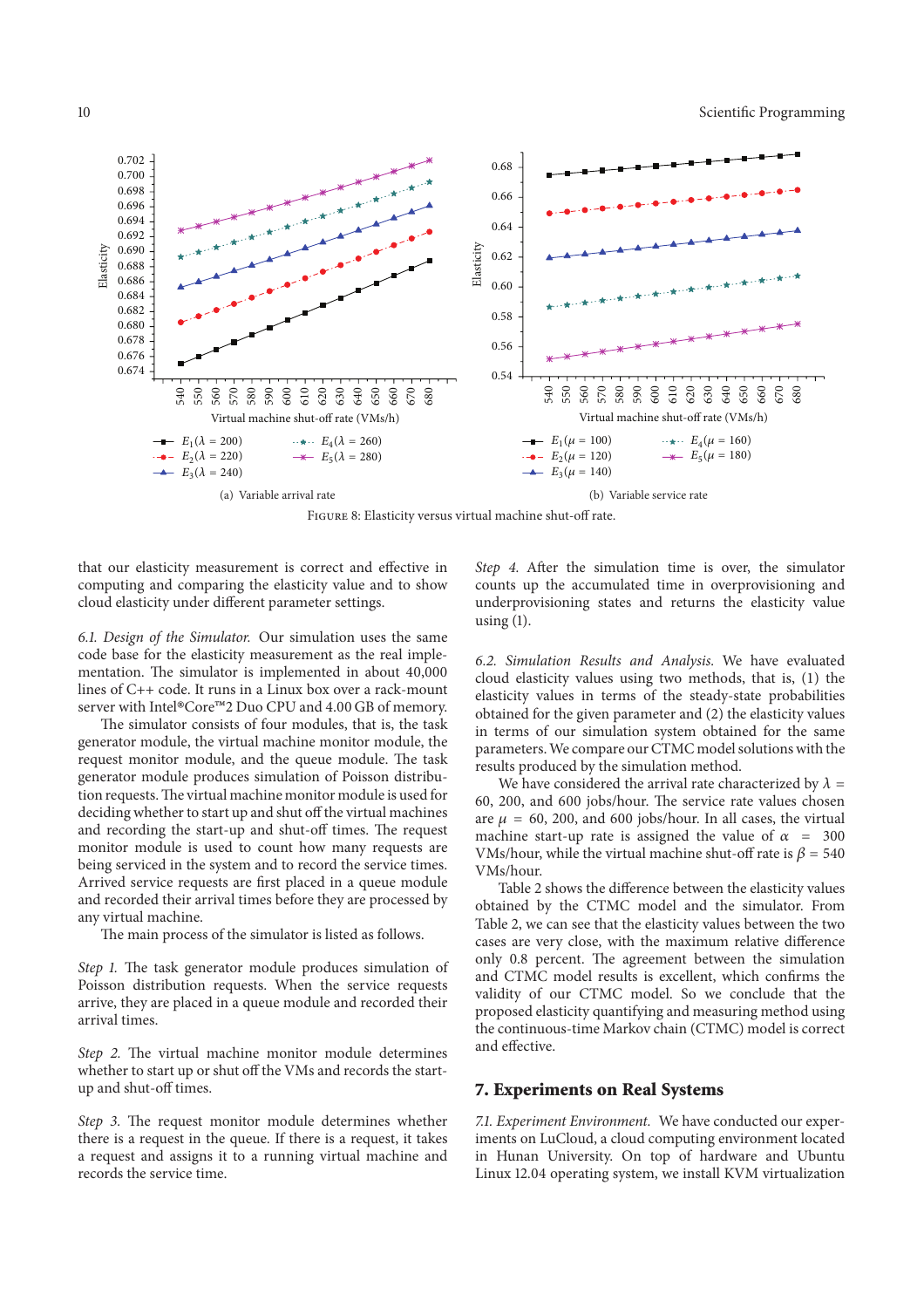

FIGURE 8: Elasticity versus virtual machine shut-off rate.

that our elasticity measurement is correct and effective in computing and comparing the elasticity value and to show cloud elasticity under different parameter settings.

6.1. Design of the Simulator. Our simulation uses the same code base for the elasticity measurement as the real implementation. The simulator is implemented in about  $40,000$ lines of C++ code. It runs in a Linux box over a rack-mount server with Intel®Core<sup>™</sup>2 Duo CPU and 4.00 GB of memory.

The simulator consists of four modules, that is, the task generator module, the virtual machine monitor module, the request monitor module, and the queue module. The task generator module produces simulation of Poisson distribution requests. The virtual machine monitor module is used for deciding whether to start up and shut off the virtual machines and recording the start-up and shut-off times. The request monitor module is used to count how many requests are being serviced in the system and to record the service times. Arrived service requests are first placed in a queue module and recorded their arrival times before they are processed by any virtual machine.

The main process of the simulator is listed as follows.

Step 1. The task generator module produces simulation of Poisson distribution requests. When the service requests arrive, they are placed in a queue module and recorded their arrival times.

Step 2. The virtual machine monitor module determines whether to start up or shut off the VMs and records the startup and shut-off times.

Step 3. The request monitor module determines whether there is a request in the queue. If there is a request, it takes a request and assigns it to a running virtual machine and records the service time.

Step 4. After the simulation time is over, the simulator counts up the accumulated time in overprovisioning and underprovisioning states and returns the elasticity value using  $(1)$ .

6.2. Simulation Results and Analysis. We have evaluated cloud elasticity values using two methods, that is, (1) the elasticity values in terms of the steady-state probabilities obtained for the given parameter and (2) the elasticity values in terms of our simulation system obtained for the same parameters.We compare our CTMC model solutions with the results produced by the simulation method.

We have considered the arrival rate characterized by  $\lambda =$ 60, 200, and 600 jobs/hour. The service rate values chosen are  $\mu = 60$ , 200, and 600 jobs/hour. In all cases, the virtual machine start-up rate is assigned the value of  $\alpha = 300$ VMs/hour, while the virtual machine shut-off rate is  $\beta = 540$ VMs/hour.

Table 2 shows the difference between the elasticity values obtained by the CTMC model and the simulator. From Table 2, we can see that the elasticity values between the two cases are very close, with the maximum relative difference only 0.8 percent. The agreement between the simulation and CTMC model results is excellent, which confirms the validity of our CTMC model. So we conclude that the proposed elasticity quantifying and measuring method using the continuous-time Markov chain (CTMC) model is correct and effective.

#### 7. Experiments on Real Systems

7.1. Experiment Environment. We have conducted our experiments on LuCloud, a cloud computing environment located in Hunan University. On top of hardware and Ubuntu Linux 12.04 operating system, we install KVM virtualization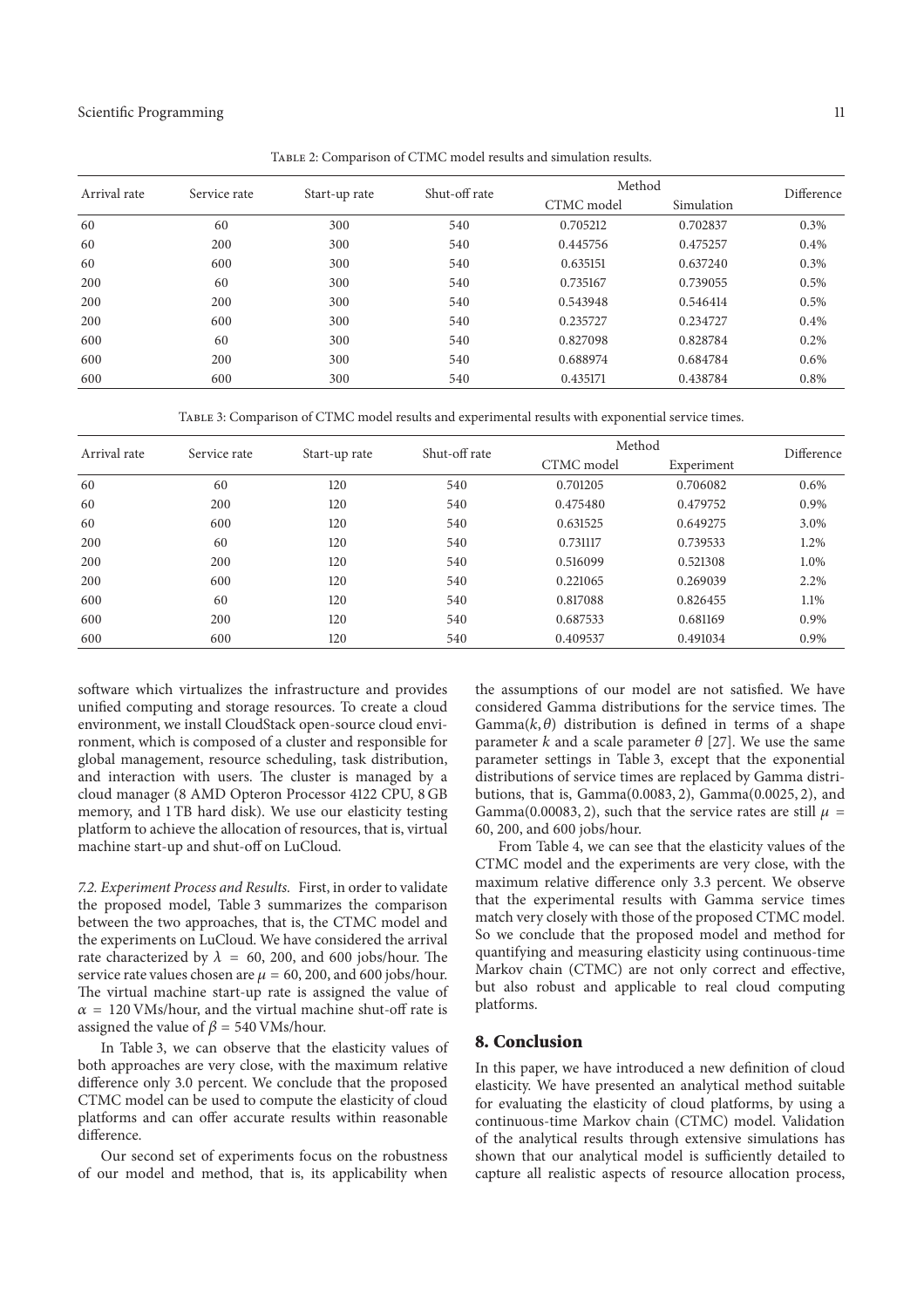Arrival rate Service rate Start-up rate Shut-off rate Method Method Difference CTMC model Simulation 60 60 300 540 0.705212 0.702837 0.3% 60 200 300 540 0.445756 0.475257 0.4% 60 600 300 540 0.635151 0.637240 0.3% 200 60 300 540 0.735167 0.739055 0.5% 200 200 200 300 540 0.543948 0.546414 0.5% 200 600 300 540 0.235727 0.234727 0.4% 600 60 300 540 0.827098 0.828784 0.2% 600 200 300 540 0.688974 0.684784 0.6% 600 600 300 540 0.435171 0.438784 0.8%

Table 2: Comparison of CTMC model results and simulation results.

Table 3: Comparison of CTMC model results and experimental results with exponential service times.

| Arrival rate | Service rate | Start-up rate | Shut-off rate | Method     |            | Difference |
|--------------|--------------|---------------|---------------|------------|------------|------------|
|              |              |               |               | CTMC model | Experiment |            |
| 60           | 60           | 120           | 540           | 0.701205   | 0.706082   | 0.6%       |
| 60           | 200          | 120           | 540           | 0.475480   | 0.479752   | 0.9%       |
| 60           | 600          | 120           | 540           | 0.631525   | 0.649275   | 3.0%       |
| 200          | 60           | 120           | 540           | 0.731117   | 0.739533   | 1.2%       |
| 200          | 200          | 120           | 540           | 0.516099   | 0.521308   | 1.0%       |
| 200          | 600          | 120           | 540           | 0.221065   | 0.269039   | 2.2%       |
| 600          | 60           | 120           | 540           | 0.817088   | 0.826455   | 1.1%       |
| 600          | 200          | 120           | 540           | 0.687533   | 0.681169   | 0.9%       |
| 600          | 600          | 120           | 540           | 0.409537   | 0.491034   | 0.9%       |

software which virtualizes the infrastructure and provides unified computing and storage resources. To create a cloud environment, we install CloudStack open-source cloud environment, which is composed of a cluster and responsible for global management, resource scheduling, task distribution, and interaction with users. The cluster is managed by a cloud manager (8 AMD Opteron Processor 4122 CPU, 8 GB memory, and 1 TB hard disk). We use our elasticity testing platform to achieve the allocation of resources, that is, virtual machine start-up and shut-off on LuCloud.

7.2. Experiment Process and Results. First, in order to validate the proposed model, Table 3 summarizes the comparison between the two approaches, that is, the CTMC model and the experiments on LuCloud. We have considered the arrival rate characterized by  $\lambda = 60$ , 200, and 600 jobs/hour. The service rate values chosen are  $\mu = 60$ , 200, and 600 jobs/hour. The virtual machine start-up rate is assigned the value of  $\alpha$  = 120 VMs/hour, and the virtual machine shut-off rate is assigned the value of  $\beta$  = 540 VMs/hour.

In Table 3, we can observe that the elasticity values of both approaches are very close, with the maximum relative difference only 3.0 percent. We conclude that the proposed CTMC model can be used to compute the elasticity of cloud platforms and can offer accurate results within reasonable difference.

Our second set of experiments focus on the robustness of our model and method, that is, its applicability when the assumptions of our model are not satisfied. We have considered Gamma distributions for the service times. The Gamma $(k, \theta)$  distribution is defined in terms of a shape parameter k and a scale parameter  $\theta$  [27]. We use the same parameter settings in Table 3, except that the exponential distributions of service times are replaced by Gamma distributions, that is, Gamma(0.0083, 2), Gamma(0.0025, 2), and Gamma(0.00083, 2), such that the service rates are still  $\mu =$ 60, 200, and 600 jobs/hour.

From Table 4, we can see that the elasticity values of the CTMC model and the experiments are very close, with the maximum relative difference only 3.3 percent. We observe that the experimental results with Gamma service times match very closely with those of the proposed CTMC model. So we conclude that the proposed model and method for quantifying and measuring elasticity using continuous-time Markov chain (CTMC) are not only correct and effective, but also robust and applicable to real cloud computing platforms.

#### 8. Conclusion

In this paper, we have introduced a new definition of cloud elasticity. We have presented an analytical method suitable for evaluating the elasticity of cloud platforms, by using a continuous-time Markov chain (CTMC) model. Validation of the analytical results through extensive simulations has shown that our analytical model is sufficiently detailed to capture all realistic aspects of resource allocation process,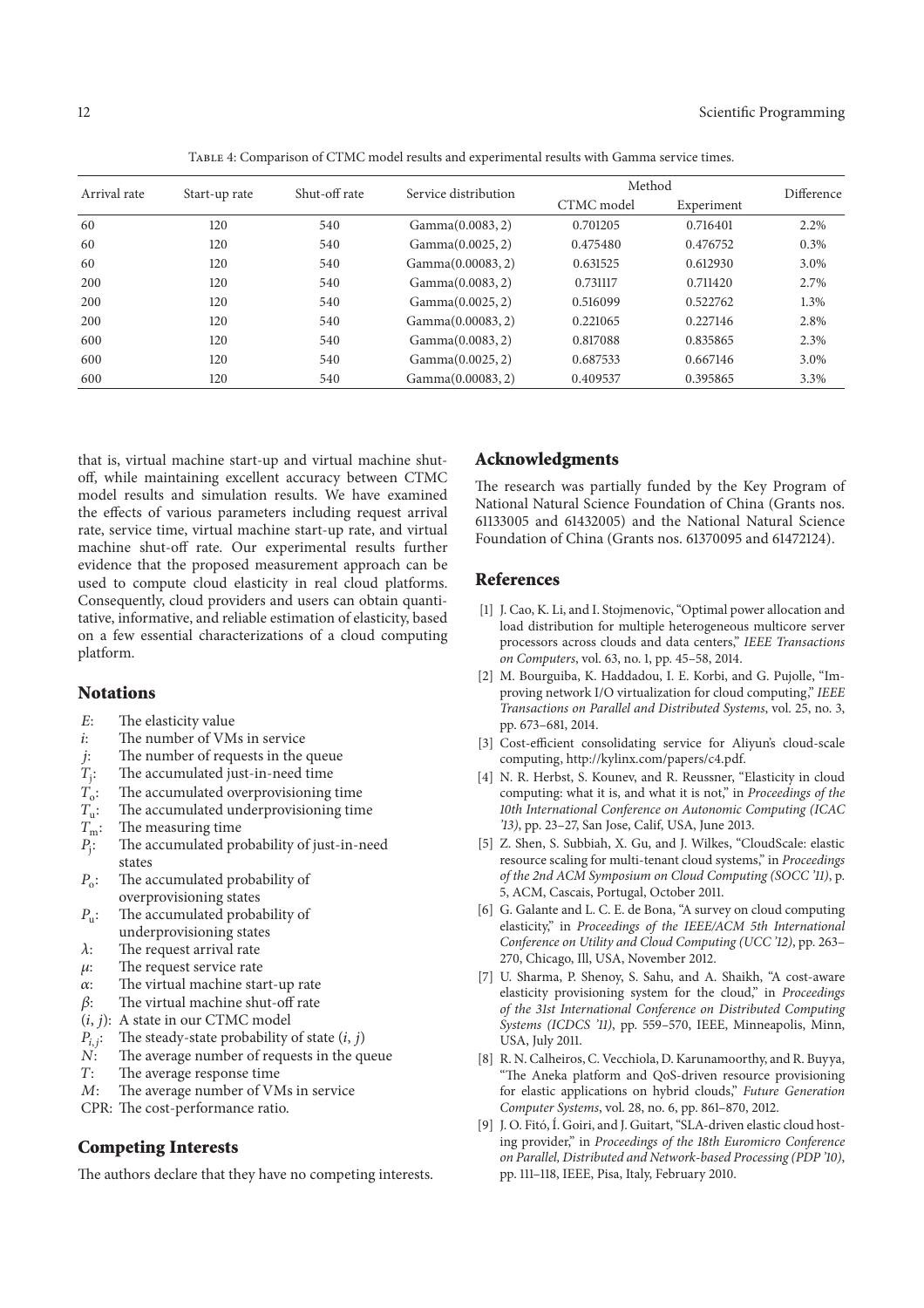Table 4: Comparison of CTMC model results and experimental results with Gamma service times.

| Arrival rate | Start-up rate | Shut-off rate | Service distribution | Method     |            | Difference |
|--------------|---------------|---------------|----------------------|------------|------------|------------|
|              |               |               |                      | CTMC model | Experiment |            |
| 60           | 120           | 540           | Gamma(0.0083, 2)     | 0.701205   | 0.716401   | 2.2%       |
| 60           | 120           | 540           | Gamma(0.0025, 2)     | 0.475480   | 0.476752   | 0.3%       |
| 60           | 120           | 540           | Gamma(0.00083, 2)    | 0.631525   | 0.612930   | 3.0%       |
| 200          | 120           | 540           | Gamma(0.0083, 2)     | 0.731117   | 0.711420   | 2.7%       |
| 200          | 120           | 540           | Gamma(0.0025, 2)     | 0.516099   | 0.522762   | 1.3%       |
| 200          | 120           | 540           | Gamma(0.00083, 2)    | 0.221065   | 0.227146   | 2.8%       |
| 600          | 120           | 540           | Gamma(0.0083, 2)     | 0.817088   | 0.835865   | 2.3%       |
| 600          | 120           | 540           | Gamma(0.0025, 2)     | 0.687533   | 0.667146   | 3.0%       |
| 600          | 120           | 540           | Gamma(0.00083, 2)    | 0.409537   | 0.395865   | 3.3%       |

that is, virtual machine start-up and virtual machine shutoff, while maintaining excellent accuracy between CTMC model results and simulation results. We have examined the effects of various parameters including request arrival rate, service time, virtual machine start-up rate, and virtual machine shut-off rate. Our experimental results further evidence that the proposed measurement approach can be used to compute cloud elasticity in real cloud platforms. Consequently, cloud providers and users can obtain quantitative, informative, and reliable estimation of elasticity, based on a few essential characterizations of a cloud computing platform.

#### **Notations**

- $E:$  The elasticity value  $i:$  The number of VM
- The number of VMs in service
- The number of requests in the queue  $j: T_i$
- The accumulated just-in-need time
- $T_{\rm o}$ The accumulated overprovisioning time
- $T_{\rm u}$ The accumulated underprovisioning time
- The measuring time
- $P_j$ The accumulated probability of just-in-need states
- $P_0$ : The accumulated probability of overprovisioning states
- $P_{\mathrm{u}}$ : The accumulated probability of underprovisioning states
- $\lambda$ : The request arrival rate
- $\mu$ : The request service rate
- $\alpha$ : The virtual machine start-up rate
- $\beta$ : The virtual machine shut-off rate
- $(i, j)$ : A state in our CTMC model
- $P_{i,j}$ : The steady-state probability of state  $(i, j)$ <br>N: The average number of requests in the qu
- The average number of requests in the queue
- T: The average response time
- M: The average number of VMs in service
- CPR: The cost-performance ratio.

## Competing Interests

The authors declare that they have no competing interests.

#### Acknowledgments

The research was partially funded by the Key Program of National Natural Science Foundation of China (Grants nos. 61133005 and 61432005) and the National Natural Science Foundation of China (Grants nos. 61370095 and 61472124).

#### References

- [1] J. Cao, K. Li, and I. Stojmenovic, "Optimal power allocation and load distribution for multiple heterogeneous multicore server processors across clouds and data centers," IEEE Transactions on Computers, vol. 63, no. 1, pp. 45–58, 2014.
- [2] M. Bourguiba, K. Haddadou, I. E. Korbi, and G. Pujolle, "Improving network I/O virtualization for cloud computing," IEEE Transactions on Parallel and Distributed Systems, vol. 25, no. 3, pp. 673–681, 2014.
- [3] Cost-efficient consolidating service for Aliyun's cloud-scale computing, http://kylinx.com/papers/c4.pdf.
- [4] N. R. Herbst, S. Kounev, and R. Reussner, "Elasticity in cloud computing: what it is, and what it is not," in Proceedings of the 10th International Conference on Autonomic Computing (ICAC '13), pp. 23–27, San Jose, Calif, USA, June 2013.
- [5] Z. Shen, S. Subbiah, X. Gu, and J. Wilkes, "CloudScale: elastic resource scaling for multi-tenant cloud systems," in Proceedings of the 2nd ACM Symposium on Cloud Computing (SOCC '11), p. 5, ACM, Cascais, Portugal, October 2011.
- [6] G. Galante and L. C. E. de Bona, "A survey on cloud computing elasticity," in Proceedings of the IEEE/ACM 5th International Conference on Utility and Cloud Computing (UCC '12), pp. 263– 270, Chicago, Ill, USA, November 2012.
- [7] U. Sharma, P. Shenoy, S. Sahu, and A. Shaikh, "A cost-aware elasticity provisioning system for the cloud," in Proceedings of the 31st International Conference on Distributed Computing Systems (ICDCS '11), pp. 559–570, IEEE, Minneapolis, Minn, USA, July 2011.
- [8] R. N. Calheiros, C. Vecchiola, D. Karunamoorthy, and R. Buyya, "The Aneka platform and QoS-driven resource provisioning for elastic applications on hybrid clouds," Future Generation Computer Systems, vol. 28, no. 6, pp. 861–870, 2012.
- [9] J. O. Fitó, Í. Goiri, and J. Guitart, "SLA-driven elastic cloud hosting provider," in Proceedings of the 18th Euromicro Conference on Parallel, Distributed and Network-based Processing (PDP '10), pp. 111–118, IEEE, Pisa, Italy, February 2010.